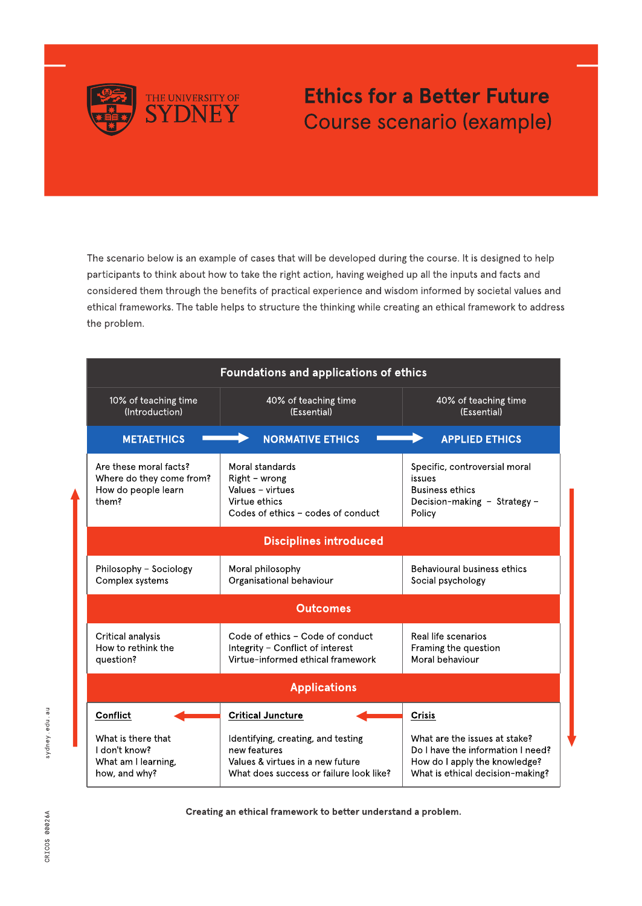

# Ethics for a Better Future Course scenario (example)

The scenario below is an example of cases that will be developed during the course. It is designed to help participants to think about how to take the right action, having weighed up all the inputs and facts and considered them through the benefits of practical experience and wisdom informed by societal values and ethical frameworks. The table helps to structure the thinking while creating an ethical framework to address the problem.

| <b>Foundations and applications of ethics</b>                                      |                                                                                                                                   |                                                                                                                                         |
|------------------------------------------------------------------------------------|-----------------------------------------------------------------------------------------------------------------------------------|-----------------------------------------------------------------------------------------------------------------------------------------|
| 10% of teaching time<br>(Introduction)                                             | 40% of teaching time<br>(Essential)                                                                                               | 40% of teaching time<br>(Essential)                                                                                                     |
| <b>METAETHICS</b>                                                                  | <b>NORMATIVE ETHICS</b>                                                                                                           | <b>APPLIED ETHICS</b>                                                                                                                   |
| Are these moral facts?<br>Where do they come from?<br>How do people learn<br>them? | Moral standards<br>Right - wrong<br>Values - virtues<br>Virtue ethics<br>Codes of ethics - codes of conduct                       | Specific, controversial moral<br>issues<br><b>Business ethics</b><br>Decision-making - Strategy -<br>Policy                             |
| <b>Disciplines introduced</b>                                                      |                                                                                                                                   |                                                                                                                                         |
| Philosophy - Sociology<br>Complex systems                                          | Moral philosophy<br>Organisational behaviour                                                                                      | Behavioural business ethics<br>Social psychology                                                                                        |
| <b>Outcomes</b>                                                                    |                                                                                                                                   |                                                                                                                                         |
| Critical analysis<br>How to rethink the<br>question?                               | Code of ethics - Code of conduct<br>Integrity - Conflict of interest<br>Virtue-informed ethical framework                         | Real life scenarios<br>Framing the question<br>Moral behaviour                                                                          |
| <b>Applications</b>                                                                |                                                                                                                                   |                                                                                                                                         |
| Conflict                                                                           | <b>Critical Juncture</b>                                                                                                          | <b>Crisis</b>                                                                                                                           |
| What is there that<br>I don't know?<br>What am I learning,<br>how, and why?        | Identifying, creating, and testing<br>new features<br>Values & virtues in a new future<br>What does success or failure look like? | What are the issues at stake?<br>Do I have the information I need?<br>How do I apply the knowledge?<br>What is ethical decision-making? |

Creating an ethical framework to better understand a problem.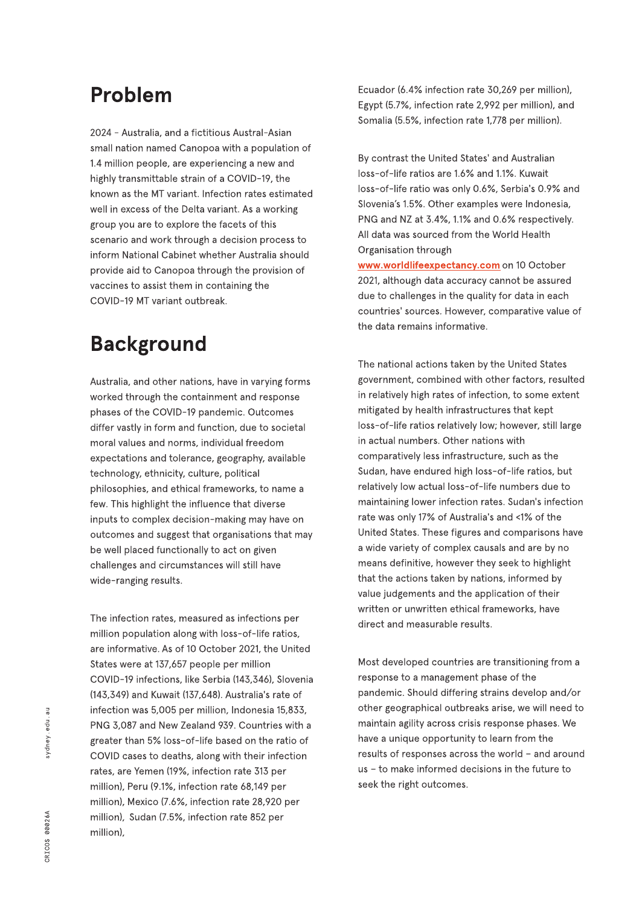#### Problem

2024 - Australia, and a fictitious Austral-Asian small nation named Canopoa with a population of 1.4 million people, are experiencing a new and highly transmittable strain of a COVID-19, the known as the MT variant. Infection rates estimated well in excess of the Delta variant. As a working group you are to explore the facets of this scenario and work through a decision process to inform National Cabinet whether Australia should provide aid to Canopoa through the provision of vaccines to assist them in containing the COVID-19 MT variant outbreak.

## Background

Australia, and other nations, have in varying forms worked through the containment and response phases of the COVID-19 pandemic. Outcomes differ vastly in form and function, due to societal moral values and norms, individual freedom expectations and tolerance, geography, available technology, ethnicity, culture, political philosophies, and ethical frameworks, to name a few. This highlight the influence that diverse inputs to complex decision- making may have on outcomes and suggest that organisations that may be well placed functionally to act on given challenges and circumstances will still have wide-ranging results.

The infection rates, measured as infections per million population along with loss-of-life ratios, are informative. As of 10 October 2021, the United States were at 137,657 people per million COVID- 19 infections, like Serbia (143,346), Slovenia (143,349) and Kuwait (137,648). Australia's rate of infection was 5,005 per million, Indonesia 15,833, PNG 3,087 and New Zealand 939. Countries with a greater than 5% loss- of-life based on the ratio of COVID cases to deaths, along with their infection rates, are Yemen (19%, infection rate 313 per million), Peru (9.1%, infection rate 68,149 per million), Mexico (7.6%, infection rate 28,920 per million), Sudan (7.5%, infection rate 852 per million),

Ecuador (6.4% infection rate 30,269 per million), Egypt (5.7%, infection rate 2,992 per million), and Somalia (5.5%, infection rate 1,778 per million). ?

By contrast the United States' and Australian loss- of-life ratios are 1.6% and 1.1%. Kuwait loss- of-life ratio was only 0.6%, Serbia's 0.9% and Slovenia?s 1.5%. Other examples were Indonesia, PNG and NZ at 3.4%, 1.1% and 0.6% respectively. All data was sourced from the World Health Organisation through?

[www.worldlifeexpectancy.com](http://www.worldlifeexpectancy.com) on 10 October 2021, although data accuracy cannot be assured due to challenges in the quality for data in each countries' sources. However, comparative value of the data remains informative.

The national actions taken by the United States government, combined with other factors, resulted in relatively high rates of infection, to some extent mitigated by health infrastructures that kept loss-of-life ratios relatively low; however, still large in actual numbers. Other nations with comparatively less infrastructure, such as the Sudan, have endured high loss-of-life ratios, but relatively low actual loss- of-life numbers due to maintaining lower infection rates. Sudan's infection rate was only 17% of Australia's and <1% of the United States. These figures and comparisons have a wide variety of complex causals and are by no means definitive, however they seek to highlight that the actions taken by nations, informed by value judgements and the application of their written or unwritten ethical frameworks, have direct and measurable results.

Most developed countries are transitioning from a response to a management phase of the pandemic. Should differing strains develop and/or other geographical outbreaks arise, we will need to maintain agility across crisis response phases. We have a unique opportunity to learn from the results of responses across the world - and around us - to make informed decisions in the future to seek the right outcomes.